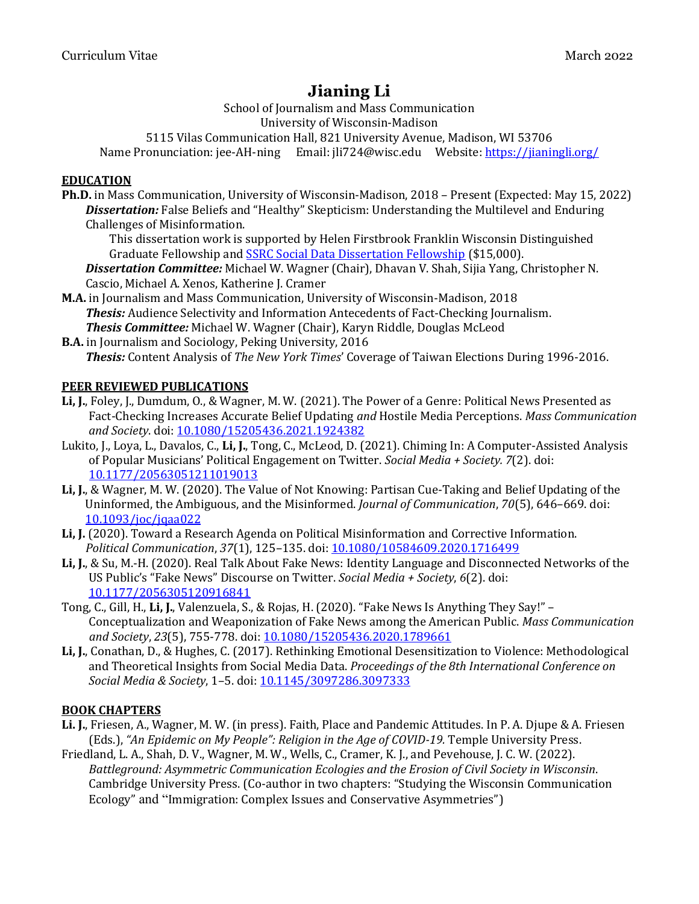School of Journalism and Mass Communication University of Wisconsin-Madison 5115 Vilas Communication Hall, 821 University Avenue, Madison, WI 53706 Name Pronunciation: jee-AH-ning Email: jli724@wisc.edu Website:<https://jianingli.org/>

## **EDUCATION**

**Ph.D.** in Mass Communication, University of Wisconsin-Madison, 2018 – Present (Expected: May 15, 2022) *Dissertation:* False Beliefs and "Healthy" Skepticism: Understanding the Multilevel and Enduring Challenges of Misinformation.

This dissertation work is supported by Helen Firstbrook Franklin Wisconsin Distinguished Graduate Fellowship and **[SSRC Social Data Dissertation Fellowship](https://items.ssrc.org/from-our-programs/the-social-science-research-council-announces-the-recipients-of-the-social-data-research-and-dissertation-fellowships/)** (\$15,000).

*Dissertation Committee:* Michael W. Wagner (Chair), Dhavan V. Shah, Sijia Yang, Christopher N. Cascio, Michael A. Xenos, Katherine J. Cramer

**M.A.** in Journalism and Mass Communication, University of Wisconsin-Madison, 2018 *Thesis:* Audience Selectivity and Information Antecedents of Fact-Checking Journalism. *Thesis Committee:* Michael W. Wagner (Chair), Karyn Riddle, Douglas McLeod

**B.A.** in Journalism and Sociology, Peking University, 2016 *Thesis:* Content Analysis of *The New York Times*' Coverage of Taiwan Elections During 1996-2016.

# **PEER REVIEWED PUBLICATIONS**

- **Li, J.**, Foley, J., Dumdum, O., & Wagner, M. W. (2021). The Power of a Genre: Political News Presented as Fact-Checking Increases Accurate Belief Updating *and* Hostile Media Perceptions. *Mass Communication and Society*. doi: [10.1080/15205436.2021.1924382](https://doi.org/10.1080/15205436.2021.1924382)
- Lukito, J., Loya, L., Davalos, C., **Li, J.**, Tong, C., McLeod, D. (2021). Chiming In: A Computer-Assisted Analysis of Popular Musicians' Political Engagement on Twitter. *Social Media + Society. 7*(2). doi: [10.1177/20563051211019013](https://doi.org/10.1177/20563051211019013)
- **Li, J.**, & Wagner, M. W. (2020). The Value of Not Knowing: Partisan Cue-Taking and Belief Updating of the Uninformed, the Ambiguous, and the Misinformed. *Journal of Communication*, *70*(5), 646–669. doi: [10.1093/joc/jqaa022](https://doi.org/10.1093/joc/jqaa022)
- **Li, J.** (2020). Toward a Research Agenda on Political Misinformation and Corrective Information. *Political Communication*, *37*(1), 125–135. doi[: 10.1080/10584609.2020.1716499](https://doi.org/10.1080/10584609.2020.1716499)
- **Li, J.**, & Su, M.-H. (2020). Real Talk About Fake News: Identity Language and Disconnected Networks of the US Public's "Fake News" Discourse on Twitter. *Social Media + Society*, *6*(2). doi: [10.1177/2056305120916841](https://doi.org/10.1177/2056305120916841)
- Tong, C., Gill, H., **Li, J.**, Valenzuela, S., & Rojas, H. (2020). "Fake News Is Anything They Say!" Conceptualization and Weaponization of Fake News among the American Public. *Mass Communication and Society*, *23*(5), 755-778. doi: [10.1080/15205436.2020.1789661](https://doi.org/10.1080/15205436.2020.1789661)
- **Li, J.**, Conathan, D., & Hughes, C. (2017). Rethinking Emotional Desensitization to Violence: Methodological and Theoretical Insights from Social Media Data. *Proceedings of the 8th International Conference on Social Media & Society*, 1–5. doi[: 10.1145/3097286.3097333](https://doi.org/10.1145/3097286.3097333)

#### **BOOK CHAPTERS**

- **Li. J.**, Friesen, A., Wagner, M. W. (in press). Faith, Place and Pandemic Attitudes. In P. A. Djupe & A. Friesen (Eds.), *"An Epidemic on My People": Religion in the Age of COVID-19.* Temple University Press.
- Friedland, L. A., Shah, D. V., Wagner, M. W., Wells, C., Cramer, K. J., and Pevehouse, J. C. W. (2022). *Battleground: Asymmetric Communication Ecologies and the Erosion of Civil Society in Wisconsin*. Cambridge University Press. (Co-author in two chapters: "Studying the Wisconsin Communication Ecology" and "Immigration: Complex Issues and Conservative Asymmetries")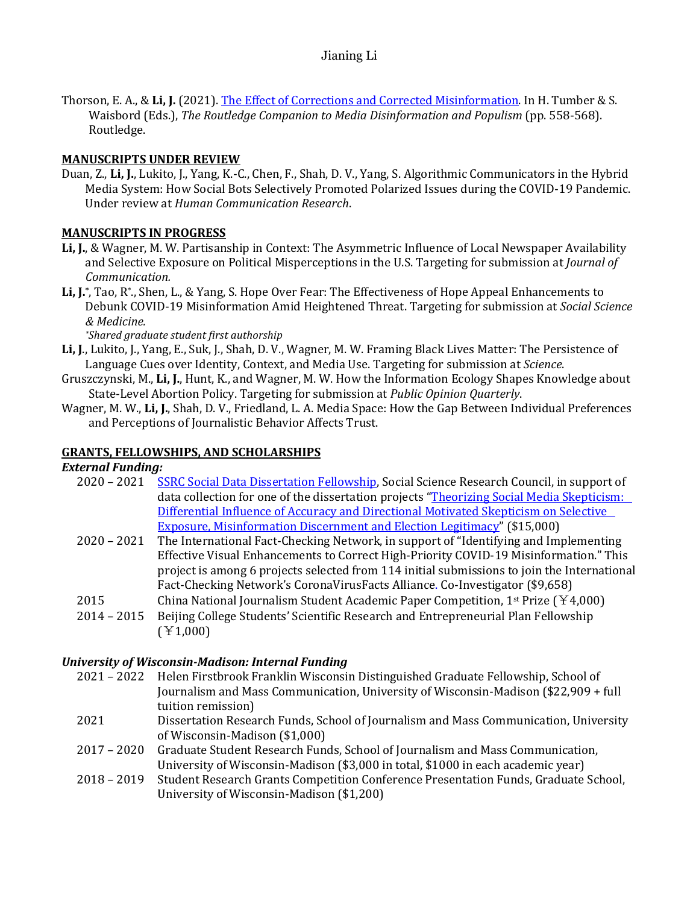Thorson, E. A., & **Li, J.** (2021). [The Effect of Corrections and Corrected Misinformation.](https://www.taylorfrancis.com/chapters/edit/10.4324/9781003004431-57/effect-corrections-corrected-misinformation-emily-thorson-jianing-li) In H. Tumber & S. Waisbord (Eds.), *The Routledge Companion to Media Disinformation and Populism* (pp. 558-568). Routledge.

# **MANUSCRIPTS UNDER REVIEW**

Duan, Z., **Li, J.**, Lukito, J., Yang, K.-C., Chen, F., Shah, D. V., Yang, S. Algorithmic Communicators in the Hybrid Media System: How Social Bots Selectively Promoted Polarized Issues during the COVID-19 Pandemic. Under review at *Human Communication Research*.

# **MANUSCRIPTS IN PROGRESS**

- **Li, J.**, & Wagner, M. W. Partisanship in Context: The Asymmetric Influence of Local Newspaper Availability and Selective Exposure on Political Misperceptions in the U.S. Targeting for submission at *Journal of Communication.*
- Li, J.<sup>\*</sup>, Tao, R<sup>\*</sup>., Shen, L., & Yang, S. Hope Over Fear: The Effectiveness of Hope Appeal Enhancements to Debunk COVID-19 Misinformation Amid Heightened Threat. Targeting for submission at *Social Science & Medicine.*

*\*Shared graduate student first authorship*

- **Li, J**., Lukito, J., Yang, E., Suk, J., Shah, D. V., Wagner, M. W. Framing Black Lives Matter: The Persistence of Language Cues over Identity, Context, and Media Use. Targeting for submission at *Science*.
- Gruszczynski, M., **Li, J.**, Hunt, K., and Wagner, M. W. How the Information Ecology Shapes Knowledge about State-Level Abortion Policy. Targeting for submission at *Public Opinion Quarterly*.
- Wagner, M. W., **Li, J.**, Shah, D. V., Friedland, L. A. Media Space: How the Gap Between Individual Preferences and Perceptions of Journalistic Behavior Affects Trust.

# **GRANTS, FELLOWSHIPS, AND SCHOLARSHIPS**

*External Funding:*

- 2020 2021 [SSRC Social Data Dissertation Fellowship,](https://items.ssrc.org/from-our-programs/the-social-science-research-council-announces-the-recipients-of-the-social-data-research-and-dissertation-fellowships/) Social Science Research Council, in support of data collection for one of the dissertation projects "[Theorizing Social Media Skepticism:](https://journalism.wisc.edu/news/phd-student-jianing-janice-li-receives-social-data-dissertation-fellowship-from-ssrc/)  [Differential Influence of Accuracy and Directional Motivated Skepticism on Selective](https://journalism.wisc.edu/news/phd-student-jianing-janice-li-receives-social-data-dissertation-fellowship-from-ssrc/)  [Exposure, Misinformation Discernment and Election Legitimacy](https://journalism.wisc.edu/news/phd-student-jianing-janice-li-receives-social-data-dissertation-fellowship-from-ssrc/)" (\$15,000)
- 2020 2021 The International Fact-Checking Network, in support of "Identifying and Implementing Effective Visual Enhancements to Correct High-Priority COVID-19 Misinformation." This project is among 6 projects selected from 114 initial submissions to join the International Fact-Checking Network's CoronaVirusFacts Alliance. Co-Investigator (\$9,658)
- 2015 China National Journalism Student Academic Paper Competition,  $1^{st}$  Prize ( $4,000$ )
- 2014 2015 Beijing College Students' Scientific Research and Entrepreneurial Plan Fellowship (¥1,000)

#### *University of Wisconsin-Madison: Internal Funding*

- 2021 2022 Helen Firstbrook Franklin Wisconsin Distinguished Graduate Fellowship, School of Journalism and Mass Communication, University of Wisconsin-Madison (\$22,909 + full tuition remission)
- 2021 Dissertation Research Funds, School of Journalism and Mass Communication, University of Wisconsin-Madison (\$1,000)
- 2017 2020 Graduate Student Research Funds, School of Journalism and Mass Communication, University of Wisconsin-Madison (\$3,000 in total, \$1000 in each academic year)
- 2018 2019 Student Research Grants Competition Conference Presentation Funds, Graduate School, University of Wisconsin-Madison (\$1,200)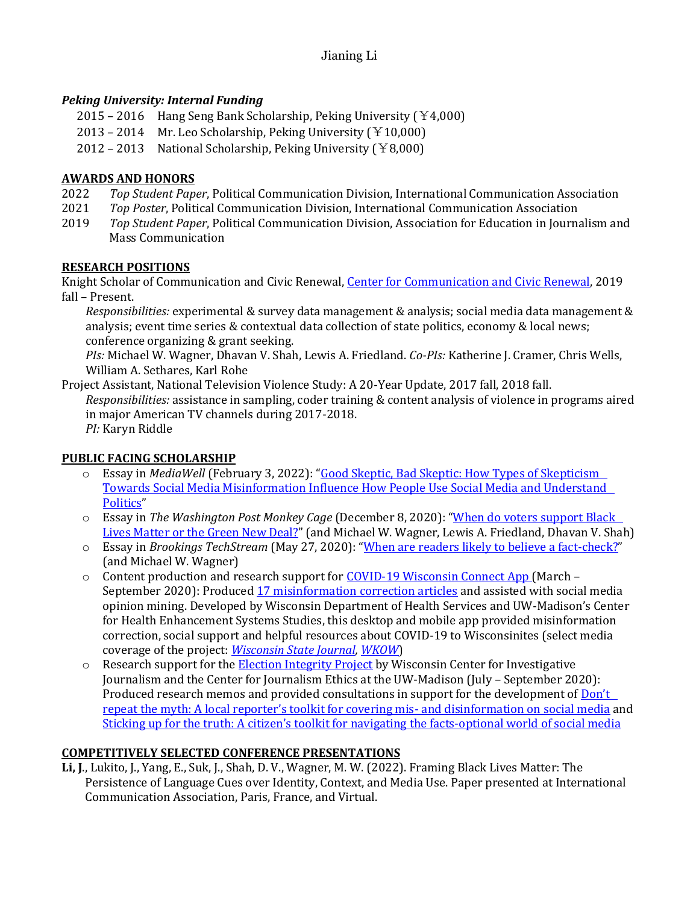# *Peking University: Internal Funding*

- 2015 2016 Hang Seng Bank Scholarship, Peking University  $(Y4,000)$
- 2013 2014 Mr. Leo Scholarship, Peking University  $(Y10,000)$
- 2012 2013 National Scholarship, Peking University  $(Y8,000)$

# **AWARDS AND HONORS**

- 2022 *Top Student Paper*, Political Communication Division, International Communication Association
- 2021 *Top Poster*, Political Communication Division, International Communication Association
- 2019 *Top Student Paper*, Political Communication Division, Association for Education in Journalism and Mass Communication

# **RESEARCH POSITIONS**

Knight Scholar of Communication and Civic Renewal, [Center for Communication and Civic Renewal,](https://mcrc.journalism.wisc.edu/groups/cccp/) 2019 fall – Present.

*Responsibilities:* experimental & survey data management & analysis; social media data management & analysis; event time series & contextual data collection of state politics, economy & local news; conference organizing & grant seeking.

*PIs:* Michael W. Wagner, Dhavan V. Shah, Lewis A. Friedland. *Co-PIs:* Katherine J. Cramer, Chris Wells, William A. Sethares, Karl Rohe

Project Assistant, National Television Violence Study: A 20-Year Update, 2017 fall, 2018 fall. *Responsibilities:* assistance in sampling, coder training & content analysis of violence in programs aired in major American TV channels during 2017-2018. *PI:* Karyn Riddle

# **PUBLIC FACING SCHOLARSHIP**

- o Essay in *MediaWell* (February 3, 2022): "[Good Skeptic, Bad Skeptic: How Types of Skepticism](https://mediawell.ssrc.org/expert-reflections/good-skeptic-bad-skeptic-how-types-of-skepticism-towards-social-media-misinformation-influence-how-people-use-social-media-and-understand-politics/)  [Towards Social Media Misinformation Influence How People Use Social Media and Understand](https://mediawell.ssrc.org/expert-reflections/good-skeptic-bad-skeptic-how-types-of-skepticism-towards-social-media-misinformation-influence-how-people-use-social-media-and-understand-politics/)  [Politics](https://mediawell.ssrc.org/expert-reflections/good-skeptic-bad-skeptic-how-types-of-skepticism-towards-social-media-misinformation-influence-how-people-use-social-media-and-understand-politics/)"
- o Essay in *The Washington Post Monkey Cage* (December 8, 2020): "[When do voters support Black](https://www.washingtonpost.com/politics/2020/12/08/when-do-voters-support-black-lives-matter-or-green-new-deal/)  [Lives Matter or the Green New Deal?](https://www.washingtonpost.com/politics/2020/12/08/when-do-voters-support-black-lives-matter-or-green-new-deal/)" (and Michael W. Wagner, Lewis A. Friedland, Dhavan V. Shah)
- o Essay in *Brookings TechStream* (May 27, 2020): "[When are readers likely to believe a fact-check?](https://www.brookings.edu/techstream/when-are-readers-likely-to-believe-a-fact-check/?fbclid=IwAR2wy-RtUC4JyeyJdeV2C-Im3HnHZDLdiovzlSKUxj3TBP_x0OEjFl7e4FA)" (and Michael W. Wagner)
- $\circ$  Content production and research support for [COVID-19 Wisconsin Connect App](https://covid.chess.wisc.edu/#/home) (March September 2020): Produced [17 misinformation correction articles](https://covid.chess.wisc.edu/#/articles/list/covid-fact-checker) and assisted with social media opinion mining. Developed by Wisconsin Department of Health Services and UW-Madison's Center for Health Enhancement Systems Studies, this desktop and mobile app provided misinformation correction, social support and helpful resources about COVID-19 to Wisconsinites (select media coverage of the project: *[Wisconsin State Journal,](https://madison.com/wsj/news/local/health-med-fit/free-app-for-dealing-with-covid-19-coronavirus-launches-across-wisconsin/article_7336e579-1c14-5ed6-8b78-177cec206c73.html) [WKOW](https://wkow.com/2020/05/04/covid-19-app-connects-wisconsinites-to-latest-updates-resources-during-outbreak/)*)
- o Research support for the **Election Integrity Project** by Wisconsin Center for Investigative Journalism and the Center for Journalism Ethics at the UW-Madison (July – September 2020): Produced research memos and provided consultations in support for the development of Don't [repeat the myth: A local reporter's toolkit for covering mis](https://ethics.journalism.wisc.edu/files/2020/09/Toolkit-1-Covering-Election-Misinfo.pdf)- and disinformation on social media and Sticking up for the tru[th: A citizen's toolkit for navigating the facts](https://ethics.journalism.wisc.edu/files/2020/09/Toolkit-2-News-Consumer-Toolkit.pdf)-optional world of social media

# **COMPETITIVELY SELECTED CONFERENCE PRESENTATIONS**

**Li, J**., Lukito, J., Yang, E., Suk, J., Shah, D. V., Wagner, M. W. (2022). Framing Black Lives Matter: The Persistence of Language Cues over Identity, Context, and Media Use. Paper presented at International Communication Association, Paris, France, and Virtual.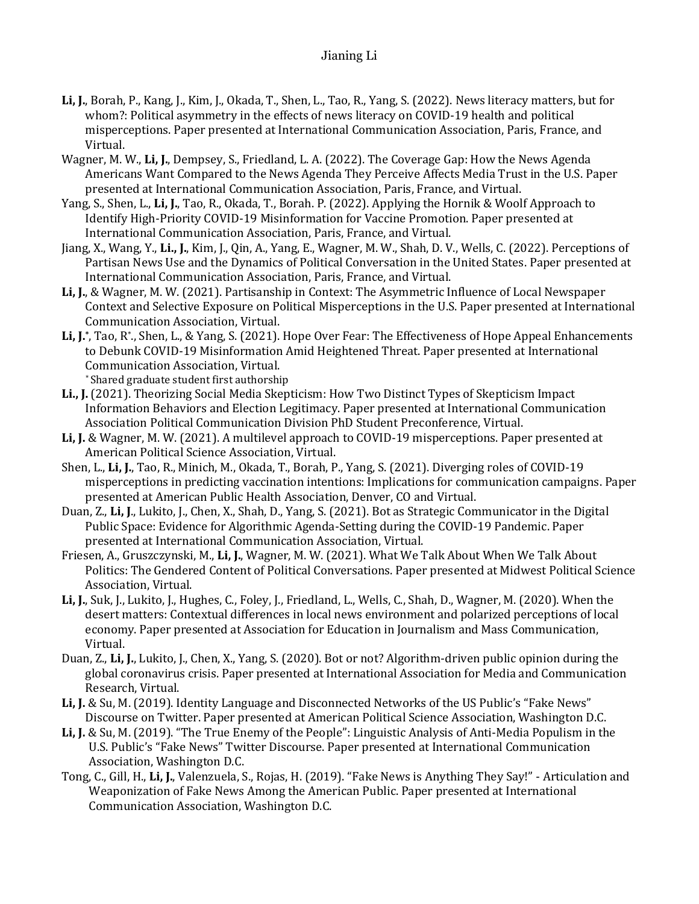- **Li, J.**, Borah, P., Kang, J., Kim, J., Okada, T., Shen, L., Tao, R., Yang, S. (2022). News literacy matters, but for whom?: Political asymmetry in the effects of news literacy on COVID-19 health and political misperceptions. Paper presented at International Communication Association, Paris, France, and Virtual.
- Wagner, M. W., **Li, J.**, Dempsey, S., Friedland, L. A. (2022). The Coverage Gap: How the News Agenda Americans Want Compared to the News Agenda They Perceive Affects Media Trust in the U.S. Paper presented at International Communication Association, Paris, France, and Virtual.
- Yang, S., Shen, L., **Li, J.**, Tao, R., Okada, T., Borah. P. (2022). Applying the Hornik & Woolf Approach to Identify High-Priority COVID-19 Misinformation for Vaccine Promotion. Paper presented at International Communication Association, Paris, France, and Virtual.
- Jiang, X., Wang, Y., **Li., J.**, Kim, J., Qin, A., Yang, E., Wagner, M. W., Shah, D. V., Wells, C. (2022). Perceptions of Partisan News Use and the Dynamics of Political Conversation in the United States. Paper presented at International Communication Association, Paris, France, and Virtual.
- **Li, J.**, & Wagner, M. W. (2021). Partisanship in Context: The Asymmetric Influence of Local Newspaper Context and Selective Exposure on Political Misperceptions in the U.S. Paper presented at International Communication Association, Virtual.
- Li, J.<sup>\*</sup>, Tao, R<sup>\*</sup>., Shen, L., & Yang, S. (2021). Hope Over Fear: The Effectiveness of Hope Appeal Enhancements to Debunk COVID-19 Misinformation Amid Heightened Threat. Paper presented at International Communication Association, Virtual.

\* Shared graduate student first authorship

- **Li., J.** (2021). Theorizing Social Media Skepticism: How Two Distinct Types of Skepticism Impact Information Behaviors and Election Legitimacy. Paper presented at International Communication Association Political Communication Division PhD Student Preconference, Virtual.
- **Li, J.** & Wagner, M. W. (2021). A multilevel approach to COVID-19 misperceptions. Paper presented at American Political Science Association, Virtual.
- Shen, L., **Li, J.**, Tao, R., Minich, M., Okada, T., Borah, P., Yang, S. (2021). Diverging roles of COVID-19 misperceptions in predicting vaccination intentions: Implications for communication campaigns. Paper presented at American Public Health Association, Denver, CO and Virtual.
- Duan, Z., **Li, J**., Lukito, J., Chen, X., Shah, D., Yang, S. (2021). Bot as Strategic Communicator in the Digital Public Space: Evidence for Algorithmic Agenda-Setting during the COVID-19 Pandemic. Paper presented at International Communication Association, Virtual.
- Friesen, A., Gruszczynski, M., **Li, J.**, Wagner, M. W. (2021). What We Talk About When We Talk About Politics: The Gendered Content of Political Conversations. Paper presented at Midwest Political Science Association, Virtual.
- **Li, J.**, Suk, J., Lukito, J., Hughes, C., Foley, J., Friedland, L., Wells, C., Shah, D., Wagner, M. (2020). When the desert matters: Contextual differences in local news environment and polarized perceptions of local economy. Paper presented at Association for Education in Journalism and Mass Communication, Virtual.
- Duan, Z., **Li, J.**, Lukito, J., Chen, X., Yang, S. (2020). Bot or not? Algorithm-driven public opinion during the global coronavirus crisis. Paper presented at International Association for Media and Communication Research, Virtual.
- **Li, J.** & Su, M. (2019). Identity Language and Disconnected Networks of the US Public's "Fake News" Discourse on Twitter. Paper presented at American Political Science Association, Washington D.C.
- **Li, J.** & Su, M. (2019). "The True Enemy of the People": Linguistic Analysis of Anti-Media Populism in the U.S. Public's "Fake News" Twitter Discourse. Paper presented at International Communication Association, Washington D.C.
- Tong, C., Gill, H., **Li, J.**, Valenzuela, S., Rojas, H. (2019). "Fake News is Anything They Say!" Articulation and Weaponization of Fake News Among the American Public. Paper presented at International Communication Association, Washington D.C.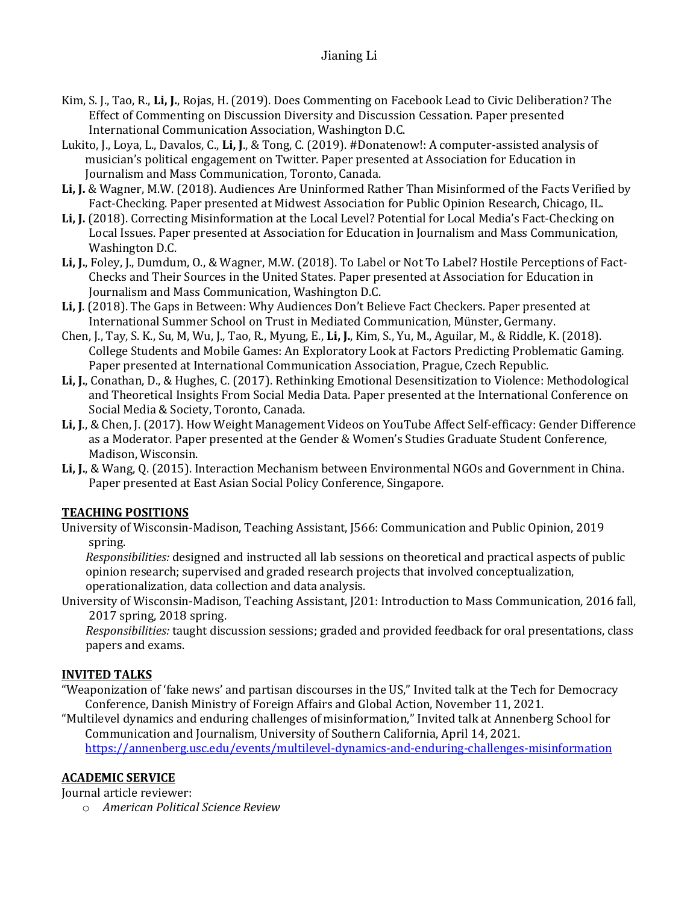- Kim, S. J., Tao, R., **Li, J.**, Rojas, H. (2019). Does Commenting on Facebook Lead to Civic Deliberation? The Effect of Commenting on Discussion Diversity and Discussion Cessation. Paper presented International Communication Association, Washington D.C.
- Lukito, J., Loya, L., Davalos, C., **Li, J**., & Tong, C. (2019). #Donatenow!: A computer-assisted analysis of musician's political engagement on Twitter. Paper presented at Association for Education in Journalism and Mass Communication, Toronto, Canada.
- **Li, J.** & Wagner, M.W. (2018). Audiences Are Uninformed Rather Than Misinformed of the Facts Verified by Fact-Checking. Paper presented at Midwest Association for Public Opinion Research, Chicago, IL.
- **Li, J.** (2018). Correcting Misinformation at the Local Level? Potential for Local Media's Fact-Checking on Local Issues. Paper presented at Association for Education in Journalism and Mass Communication, Washington D.C.
- **Li, J.**, Foley, J., Dumdum, O., & Wagner, M.W. (2018). To Label or Not To Label? Hostile Perceptions of Fact-Checks and Their Sources in the United States. Paper presented at Association for Education in Journalism and Mass Communication, Washington D.C.
- **Li, J**. (2018). The Gaps in Between: Why Audiences Don't Believe Fact Checkers. Paper presented at International Summer School on Trust in Mediated Communication, Münster, Germany.
- Chen, J., Tay, S. K., Su, M, Wu, J., Tao, R., Myung, E., **Li, J.**, Kim, S., Yu, M., Aguilar, M., & Riddle, K. (2018). College Students and Mobile Games: An Exploratory Look at Factors Predicting Problematic Gaming. Paper presented at International Communication Association, Prague, Czech Republic.
- **Li, J.**, Conathan, D., & Hughes, C. (2017). Rethinking Emotional Desensitization to Violence: Methodological and Theoretical Insights From Social Media Data. Paper presented at the International Conference on Social Media & Society, Toronto, Canada.
- **Li, J**., & Chen, J. (2017). How Weight Management Videos on YouTube Affect Self-efficacy: Gender Difference as a Moderator. Paper presented at the Gender & Women's Studies Graduate Student Conference, Madison, Wisconsin.
- **Li, J.**, & Wang, Q. (2015). Interaction Mechanism between Environmental NGOs and Government in China. Paper presented at East Asian Social Policy Conference, Singapore.

# **TEACHING POSITIONS**

University of Wisconsin-Madison, Teaching Assistant, J566: Communication and Public Opinion, 2019 spring.

*Responsibilities:* designed and instructed all lab sessions on theoretical and practical aspects of public opinion research; supervised and graded research projects that involved conceptualization, operationalization, data collection and data analysis.

University of Wisconsin-Madison, Teaching Assistant, J201: Introduction to Mass Communication, 2016 fall, 2017 spring, 2018 spring.

*Responsibilities:* taught discussion sessions; graded and provided feedback for oral presentations, class papers and exams.

# **INVITED TALKS**

"Weaponization of 'fake news' and partisan discourses in the US," Invited talk at the Tech for Democracy Conference, Danish Ministry of Foreign Affairs and Global Action, November 11, 2021.

"Multilevel dynamics and enduring challenges of misinformation," Invited talk at Annenberg School for Communication and Journalism, University of Southern California, April 14, 2021.

<https://annenberg.usc.edu/events/multilevel-dynamics-and-enduring-challenges-misinformation>

# **ACADEMIC SERVICE**

Journal article reviewer:

o *American Political Science Review*